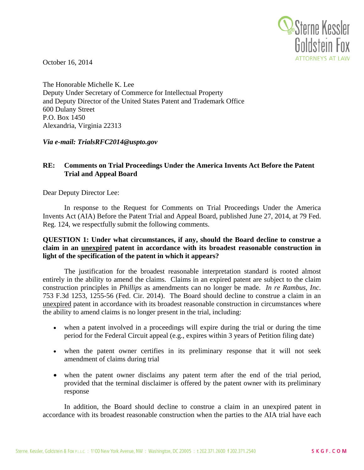

October 16, 2014

The Honorable Michelle K. Lee Deputy Under Secretary of Commerce for Intellectual Property and Deputy Director of the United States Patent and Trademark Office 600 Dulany Street P.O. Box 1450 Alexandria, Virginia 22313

*Via e-mail: TrialsRFC2014@uspto.gov* 

## **RE: Comments on Trial Proceedings Under the America Invents Act Before the Patent Trial and Appeal Board**

Dear Deputy Director Lee:

 Reg. 124, we respectfully submit the following comments. In response to the Request for Comments on Trial Proceedings Under the America Invents Act (AIA) Before the Patent Trial and Appeal Board, published June 27, 2014, at 79 Fed.

**QUESTION 1: Under what circumstances, if any, should the Board decline to construe a claim in an unexpired patent in accordance with its broadest reasonable construction in light of the specification of the patent in which it appears?** 

The justification for the broadest reasonable interpretation standard is rooted almost entirely in the ability to amend the claims. Claims in an expired patent are subject to the claim construction principles in *Phillips* as amendments can no longer be made. *In re Rambus, Inc*. 753 F.3d 1253, 1255-56 (Fed. Cir. 2014). The Board should decline to construe a claim in an unexpired patent in accordance with its broadest reasonable construction in circumstances where the ability to amend claims is no longer present in the trial, including:

- when a patent involved in a proceedings will expire during the trial or during the time period for the Federal Circuit appeal (e.g., expires within 3 years of Petition filing date)
- when the patent owner certifies in its preliminary response that it will not seek amendment of claims during trial
- when the patent owner disclaims any patent term after the end of the trial period, provided that the terminal disclaimer is offered by the patent owner with its preliminary response

In addition, the Board should decline to construe a claim in an unexpired patent in accordance with its broadest reasonable construction when the parties to the AIA trial have each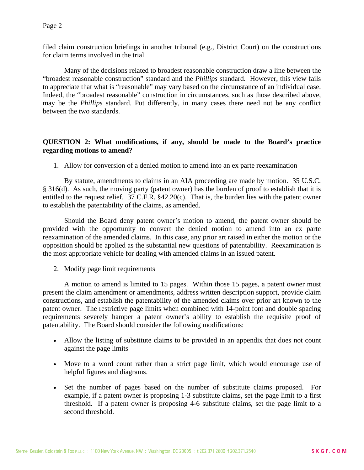filed claim construction briefings in another tribunal (e.g., District Court) on the constructions for claim terms involved in the trial.

Many of the decisions related to broadest reasonable construction draw a line between the "broadest reasonable construction" standard and the *Phillips* standard. However, this view fails to appreciate that what is "reasonable" may vary based on the circumstance of an individual case. Indeed, the "broadest reasonable" construction in circumstances, such as those described above, may be the *Phillips* standard. Put differently, in many cases there need not be any conflict between the two standards.

# **QUESTION 2: What modifications, if any, should be made to the Board's practice regarding motions to amend?**

1. Allow for conversion of a denied motion to amend into an ex parte reexamination

By statute, amendments to claims in an AIA proceeding are made by motion. 35 U.S.C. § 316(d). As such, the moving party (patent owner) has the burden of proof to establish that it is entitled to the request relief. 37 C.F.R. §42.20(c). That is, the burden lies with the patent owner to establish the patentability of the claims, as amended.

Should the Board deny patent owner's motion to amend, the patent owner should be provided with the opportunity to convert the denied motion to amend into an ex parte reexamination of the amended claims. In this case, any prior art raised in either the motion or the opposition should be applied as the substantial new questions of patentability. Reexamination is the most appropriate vehicle for dealing with amended claims in an issued patent.

2. Modify page limit requirements

A motion to amend is limited to 15 pages. Within those 15 pages, a patent owner must present the claim amendment or amendments, address written description support, provide claim constructions, and establish the patentability of the amended claims over prior art known to the patent owner. The restrictive page limits when combined with 14-point font and double spacing requirements severely hamper a patent owner's ability to establish the requisite proof of patentability. The Board should consider the following modifications:

- Allow the listing of substitute claims to be provided in an appendix that does not count against the page limits
- Move to a word count rather than a strict page limit, which would encourage use of helpful figures and diagrams.
- Set the number of pages based on the number of substitute claims proposed. For example, if a patent owner is proposing 1-3 substitute claims, set the page limit to a first threshold. If a patent owner is proposing 4-6 substitute claims, set the page limit to a second threshold.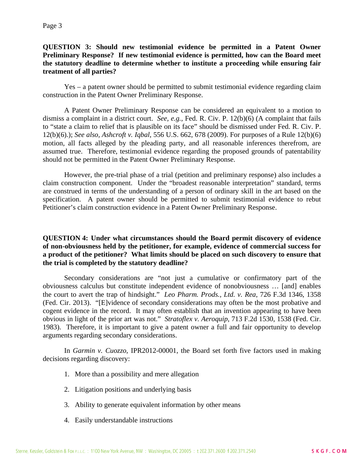#### **QUESTION 3: Should new testimonial evidence be permitted in a Patent Owner Preliminary Response? If new testimonial evidence is permitted, how can the Board meet the statutory deadline to determine whether to institute a proceeding while ensuring fair treatment of all parties?**

Yes – a patent owner should be permitted to submit testimonial evidence regarding claim construction in the Patent Owner Preliminary Response.

A Patent Owner Preliminary Response can be considered an equivalent to a motion to dismiss a complaint in a district court. *See, e.g.,* Fed. R. Civ. P. 12(b)(6) (A complaint that fails to "state a claim to relief that is plausible on its face" should be dismissed under Fed. R. Civ. P. 12(b)(6).); *See also, Ashcroft v. Iqbal*, 556 U.S. 662, 678 (2009). For purposes of a Rule 12(b)(6) motion, all facts alleged by the pleading party, and all reasonable inferences therefrom, are assumed true. Therefore, testimonial evidence regarding the proposed grounds of patentability should not be permitted in the Patent Owner Preliminary Response.

However, the pre-trial phase of a trial (petition and preliminary response) also includes a claim construction component. Under the "broadest reasonable interpretation" standard, terms are construed in terms of the understanding of a person of ordinary skill in the art based on the specification. A patent owner should be permitted to submit testimonial evidence to rebut Petitioner's claim construction evidence in a Patent Owner Preliminary Response.

### **QUESTION 4: Under what circumstances should the Board permit discovery of evidence of non-obviousness held by the petitioner, for example, evidence of commercial success for a product of the petitioner? What limits should be placed on such discovery to ensure that the trial is completed by the statutory deadline?**

Secondary considerations are "not just a cumulative or confirmatory part of the obviousness calculus but constitute independent evidence of nonobviousness … [and] enables the court to avert the trap of hindsight." *Leo Pharm. Prods., Ltd. v. Rea*, 726 F.3d 1346, 1358 (Fed. Cir. 2013). "[E]vidence of secondary considerations may often be the most probative and cogent evidence in the record. It may often establish that an invention appearing to have been obvious in light of the prior art was not." *Stratoflex v. Aeroquip*, 713 F.2d 1530, 1538 (Fed. Cir. 1983). Therefore, it is important to give a patent owner a full and fair opportunity to develop arguments regarding secondary considerations.

In *Garmin v. Cuozzo*, IPR2012-00001, the Board set forth five factors used in making decisions regarding discovery:

- 1. More than a possibility and mere allegation
- 2. Litigation positions and underlying basis
- 3. Ability to generate equivalent information by other means
- 4. Easily understandable instructions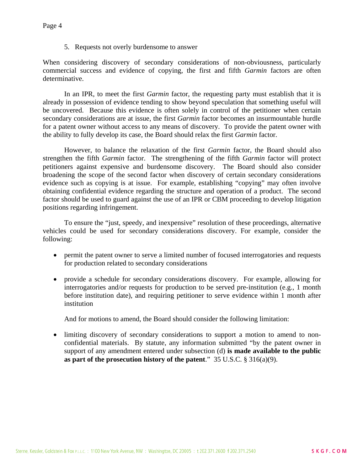5. Requests not overly burdensome to answer

When considering discovery of secondary considerations of non-obviousness, particularly commercial success and evidence of copying, the first and fifth *Garmin* factors are often determinative.

In an IPR, to meet the first *Garmin* factor, the requesting party must establish that it is already in possession of evidence tending to show beyond speculation that something useful will be uncovered. Because this evidence is often solely in control of the petitioner when certain secondary considerations are at issue, the first *Garmin* factor becomes an insurmountable hurdle for a patent owner without access to any means of discovery. To provide the patent owner with the ability to fully develop its case, the Board should relax the first *Garmin* factor.

However, to balance the relaxation of the first *Garmin* factor, the Board should also strengthen the fifth *Garmin* factor. The strengthening of the fifth *Garmin* factor will protect petitioners against expensive and burdensome discovery. The Board should also consider broadening the scope of the second factor when discovery of certain secondary considerations evidence such as copying is at issue. For example, establishing "copying" may often involve obtaining confidential evidence regarding the structure and operation of a product. The second factor should be used to guard against the use of an IPR or CBM proceeding to develop litigation positions regarding infringement.

To ensure the "just, speedy, and inexpensive" resolution of these proceedings, alternative vehicles could be used for secondary considerations discovery. For example, consider the following:

- permit the patent owner to serve a limited number of focused interrogatories and requests for production related to secondary considerations
- provide a schedule for secondary considerations discovery. For example, allowing for interrogatories and/or requests for production to be served pre-institution (e.g., 1 month before institution date), and requiring petitioner to serve evidence within 1 month after institution

And for motions to amend, the Board should consider the following limitation:

 limiting discovery of secondary considerations to support a motion to amend to nonconfidential materials. By statute, any information submitted "by the patent owner in support of any amendment entered under subsection (d) **is made available to the public as part of the prosecution history of the patent**." 35 U.S.C. § 316(a)(9).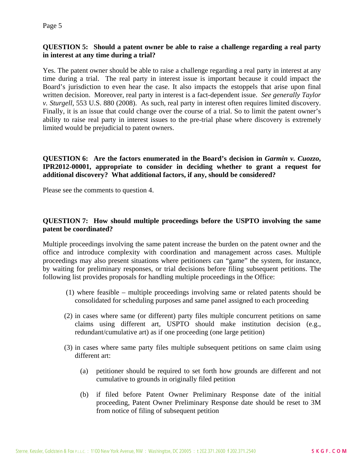Page 5

#### **QUESTION 5: Should a patent owner be able to raise a challenge regarding a real party in interest at any time during a trial?**

Yes. The patent owner should be able to raise a challenge regarding a real party in interest at any time during a trial. The real party in interest issue is important because it could impact the Board's jurisdiction to even hear the case. It also impacts the estoppels that arise upon final written decision. Moreover, real party in interest is a fact-dependent issue. *See generally Taylor v. Sturgell*, 553 U.S. 880 (2008). As such, real party in interest often requires limited discovery. Finally, it is an issue that could change over the course of a trial. So to limit the patent owner's ability to raise real party in interest issues to the pre-trial phase where discovery is extremely limited would be prejudicial to patent owners.

### **QUESTION 6:** Are the factors enumerated in the Board's decision in *Garmin v. Cuozzo*, **IPR2012-00001, appropriate to consider in deciding whether to grant a request for additional discovery? What additional factors, if any, should be considered?**

Please see the comments to question 4.

# **QUESTION 7: How should multiple proceedings before the USPTO involving the same patent be coordinated?**

Multiple proceedings involving the same patent increase the burden on the patent owner and the office and introduce complexity with coordination and management across cases. Multiple proceedings may also present situations where petitioners can "game" the system, for instance, by waiting for preliminary responses, or trial decisions before filing subsequent petitions. The following list provides proposals for handling multiple proceedings in the Office:

- (1) where feasible multiple proceedings involving same or related patents should be consolidated for scheduling purposes and same panel assigned to each proceeding
- (2) in cases where same (or different) party files multiple concurrent petitions on same claims using different art, USPTO should make institution decision (e.g., redundant/cumulative art) as if one proceeding (one large petition)
- (3) in cases where same party files multiple subsequent petitions on same claim using different art:
	- (a) petitioner should be required to set forth how grounds are different and not cumulative to grounds in originally filed petition
	- (b) if filed before Patent Owner Preliminary Response date of the initial proceeding, Patent Owner Preliminary Response date should be reset to 3M from notice of filing of subsequent petition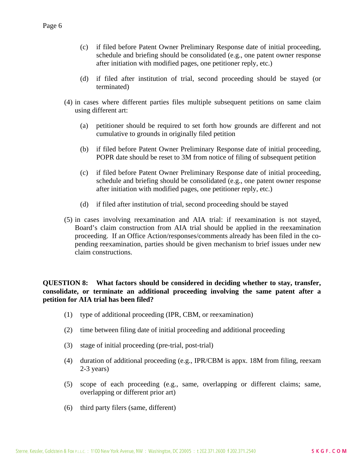- (c) if filed before Patent Owner Preliminary Response date of initial proceeding, schedule and briefing should be consolidated (e.g., one patent owner response after initiation with modified pages, one petitioner reply, etc.)
- (d) if filed after institution of trial, second proceeding should be stayed (or terminated)
- (4) in cases where different parties files multiple subsequent petitions on same claim using different art:
	- (a) petitioner should be required to set forth how grounds are different and not cumulative to grounds in originally filed petition
	- (b) if filed before Patent Owner Preliminary Response date of initial proceeding, POPR date should be reset to 3M from notice of filing of subsequent petition
	- (c) if filed before Patent Owner Preliminary Response date of initial proceeding, schedule and briefing should be consolidated (e.g., one patent owner response after initiation with modified pages, one petitioner reply, etc.)
	- (d) if filed after institution of trial, second proceeding should be stayed
- (5) in cases involving reexamination and AIA trial: if reexamination is not stayed, Board's claim construction from AIA trial should be applied in the reexamination proceeding. If an Office Action/responses/comments already has been filed in the copending reexamination, parties should be given mechanism to brief issues under new claim constructions.

**QUESTION 8: What factors should be considered in deciding whether to stay, transfer, consolidate, or terminate an additional proceeding involving the same patent after a petition for AIA trial has been filed?** 

- (1) type of additional proceeding (IPR, CBM, or reexamination)
- (2) time between filing date of initial proceeding and additional proceeding
- (3) stage of initial proceeding (pre-trial, post-trial)
- (4) duration of additional proceeding (e.g., IPR/CBM is appx. 18M from filing, reexam 2-3 years)
- (5) scope of each proceeding (e.g., same, overlapping or different claims; same, overlapping or different prior art)
- (6) third party filers (same, different)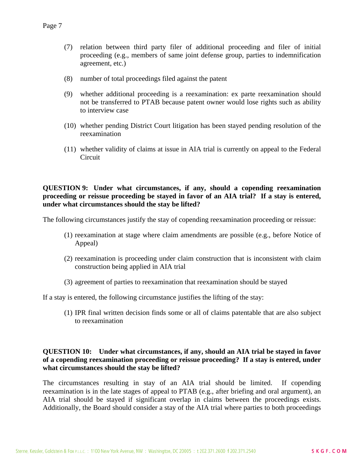- (7) relation between third party filer of additional proceeding and filer of initial proceeding (e.g., members of same joint defense group, parties to indemnification agreement, etc.)
- (8) number of total proceedings filed against the patent
- (9) whether additional proceeding is a reexamination: ex parte reexamination should not be transferred to PTAB because patent owner would lose rights such as ability to interview case
- (10) whether pending District Court litigation has been stayed pending resolution of the reexamination
- (11) whether validity of claims at issue in AIA trial is currently on appeal to the Federal Circuit

#### **QUESTION 9: Under what circumstances, if any, should a copending reexamination proceeding or reissue proceeding be stayed in favor of an AIA trial? If a stay is entered, under what circumstances should the stay be lifted?**

The following circumstances justify the stay of copending reexamination proceeding or reissue:

- (1) reexamination at stage where claim amendments are possible (e.g., before Notice of Appeal)
- (2) reexamination is proceeding under claim construction that is inconsistent with claim construction being applied in AIA trial
- (3) agreement of parties to reexamination that reexamination should be stayed

If a stay is entered, the following circumstance justifies the lifting of the stay:

(1) IPR final written decision finds some or all of claims patentable that are also subject to reexamination

#### **QUESTION 10: Under what circumstances, if any, should an AIA trial be stayed in favor of a copending reexamination proceeding or reissue proceeding? If a stay is entered, under what circumstances should the stay be lifted?**

The circumstances resulting in stay of an AIA trial should be limited. If copending reexamination is in the late stages of appeal to PTAB (e.g., after briefing and oral argument), an AIA trial should be stayed if significant overlap in claims between the proceedings exists. Additionally, the Board should consider a stay of the AIA trial where parties to both proceedings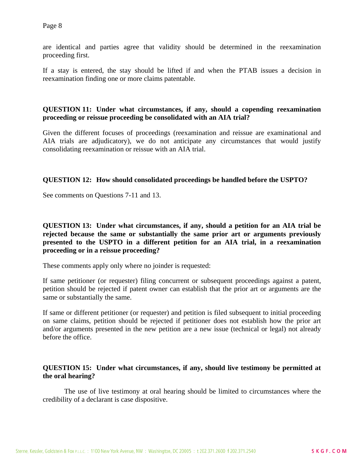Page 8

are identical and parties agree that validity should be determined in the reexamination proceeding first.

If a stay is entered, the stay should be lifted if and when the PTAB issues a decision in reexamination finding one or more claims patentable.

#### **QUESTION 11: Under what circumstances, if any, should a copending reexamination proceeding or reissue proceeding be consolidated with an AIA trial?**

Given the different focuses of proceedings (reexamination and reissue are examinational and AIA trials are adjudicatory), we do not anticipate any circumstances that would justify consolidating reexamination or reissue with an AIA trial.

#### **QUESTION 12: How should consolidated proceedings be handled before the USPTO?**

See comments on Questions 7-11 and 13.

**QUESTION 13: Under what circumstances, if any, should a petition for an AIA trial be rejected because the same or substantially the same prior art or arguments previously presented to the USPTO in a different petition for an AIA trial, in a reexamination proceeding or in a reissue proceeding?** 

These comments apply only where no joinder is requested:

If same petitioner (or requester) filing concurrent or subsequent proceedings against a patent, petition should be rejected if patent owner can establish that the prior art or arguments are the same or substantially the same.

If same or different petitioner (or requester) and petition is filed subsequent to initial proceeding on same claims, petition should be rejected if petitioner does not establish how the prior art and/or arguments presented in the new petition are a new issue (technical or legal) not already before the office.

#### **QUESTION 15: Under what circumstances, if any, should live testimony be permitted at the oral hearing?**

The use of live testimony at oral hearing should be limited to circumstances where the credibility of a declarant is case dispositive.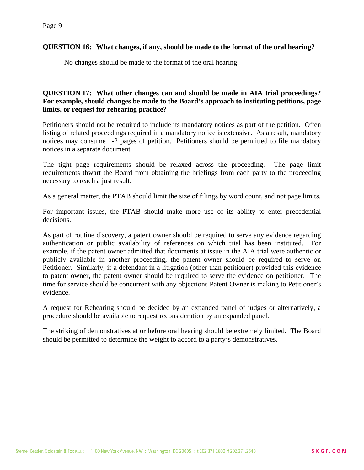#### Page 9

#### **QUESTION 16: What changes, if any, should be made to the format of the oral hearing?**

No changes should be made to the format of the oral hearing.

## **QUESTION 17: What other changes can and should be made in AIA trial proceedings? For example, should changes be made to the Board's approach to instituting petitions, page limits, or request for rehearing practice?**

Petitioners should not be required to include its mandatory notices as part of the petition. Often listing of related proceedings required in a mandatory notice is extensive. As a result, mandatory notices may consume 1-2 pages of petition. Petitioners should be permitted to file mandatory notices in a separate document.

The tight page requirements should be relaxed across the proceeding. The page limit requirements thwart the Board from obtaining the briefings from each party to the proceeding necessary to reach a just result.

As a general matter, the PTAB should limit the size of filings by word count, and not page limits.

For important issues, the PTAB should make more use of its ability to enter precedential decisions.

As part of routine discovery, a patent owner should be required to serve any evidence regarding authentication or public availability of references on which trial has been instituted. For example, if the patent owner admitted that documents at issue in the AIA trial were authentic or publicly available in another proceeding, the patent owner should be required to serve on Petitioner. Similarly, if a defendant in a litigation (other than petitioner) provided this evidence to patent owner, the patent owner should be required to serve the evidence on petitioner. The time for service should be concurrent with any objections Patent Owner is making to Petitioner's evidence.

A request for Rehearing should be decided by an expanded panel of judges or alternatively, a procedure should be available to request reconsideration by an expanded panel.

The striking of demonstratives at or before oral hearing should be extremely limited. The Board should be permitted to determine the weight to accord to a party's demonstratives.